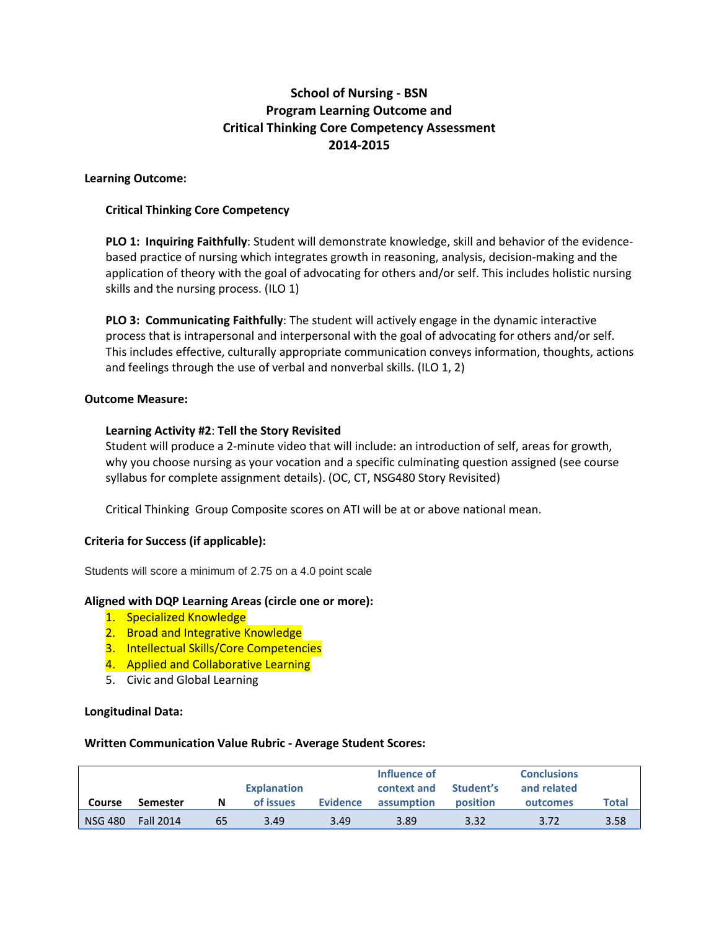# **School of Nursing - BSN Program Learning Outcome and Critical Thinking Core Competency Assessment 2014-2015**

# **Learning Outcome:**

# **Critical Thinking Core Competency**

**PLO 1: Inquiring Faithfully**: Student will demonstrate knowledge, skill and behavior of the evidencebased practice of nursing which integrates growth in reasoning, analysis, decision-making and the application of theory with the goal of advocating for others and/or self. This includes holistic nursing skills and the nursing process. (ILO 1)

**PLO 3: Communicating Faithfully**: The student will actively engage in the dynamic interactive process that is intrapersonal and interpersonal with the goal of advocating for others and/or self. This includes effective, culturally appropriate communication conveys information, thoughts, actions and feelings through the use of verbal and nonverbal skills. (ILO 1, 2)

# **Outcome Measure:**

# **Learning Activity #2**: **Tell the Story Revisited**

Student will produce a 2-minute video that will include: an introduction of self, areas for growth, why you choose nursing as your vocation and a specific culminating question assigned (see course syllabus for complete assignment details). (OC, CT, NSG480 Story Revisited)

Critical Thinking Group Composite scores on ATI will be at or above national mean.

# **Criteria for Success (if applicable):**

Students will score a minimum of 2.75 on a 4.0 point scale

#### **Aligned with DQP Learning Areas (circle one or more):**

- 1. Specialized Knowledge
- 2. Broad and Integrative Knowledge
- 3. Intellectual Skills/Core Competencies
- 4. Applied and Collaborative Learning
- 5. Civic and Global Learning

#### **Longitudinal Data:**

#### **Written Communication Value Rubric - Average Student Scores:**

|               |                  |    | <b>Explanation</b> |                 | Influence of<br>Student's<br>context and |                 | <b>Conclusions</b><br>and related |              |
|---------------|------------------|----|--------------------|-----------------|------------------------------------------|-----------------|-----------------------------------|--------------|
| <b>Course</b> | Semester         | N  | of issues          | <b>Evidence</b> | assumption                               | <b>position</b> | outcomes                          | <b>Total</b> |
| NSG 480       | <b>Fall 2014</b> | 65 | 3.49               | 3.49            | 3.89                                     | 3.32            | 3.72                              | 3.58         |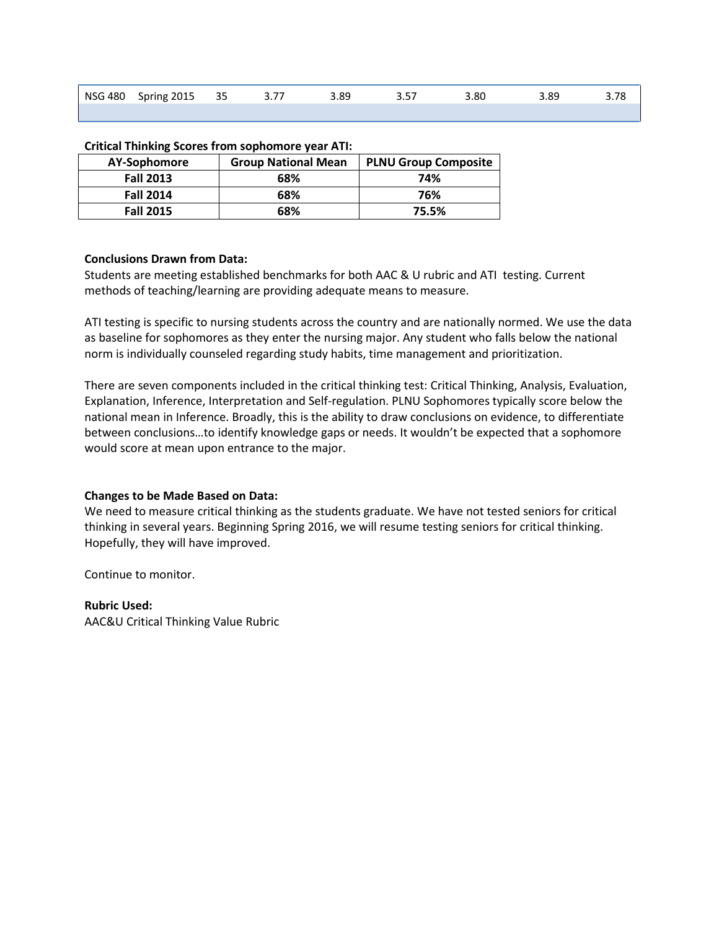| NSG 480 Spring 2015 | 35 | $\sim$ $\sim$ | 89.ر | $ -$ | .80 | '.89 |  |
|---------------------|----|---------------|------|------|-----|------|--|
|                     |    |               |      |      |     |      |  |

| CHING THILINGS SCOTES TIONS SOPHONIOLE YEAR ATT. |                            |                             |  |  |  |  |  |
|--------------------------------------------------|----------------------------|-----------------------------|--|--|--|--|--|
| AY-Sophomore                                     | <b>Group National Mean</b> | <b>PLNU Group Composite</b> |  |  |  |  |  |
| <b>Fall 2013</b>                                 | 68%                        | 74%                         |  |  |  |  |  |
| <b>Fall 2014</b>                                 | 68%                        | 76%                         |  |  |  |  |  |
| <b>Fall 2015</b>                                 | 68%                        | 75.5%                       |  |  |  |  |  |

#### **Critical Thinking Scores from sophomore year ATI:**

# **Conclusions Drawn from Data:**

Students are meeting established benchmarks for both AAC & U rubric and ATI testing. Current methods of teaching/learning are providing adequate means to measure.

ATI testing is specific to nursing students across the country and are nationally normed. We use the data as baseline for sophomores as they enter the nursing major. Any student who falls below the national norm is individually counseled regarding study habits, time management and prioritization.

There are seven components included in the critical thinking test: Critical Thinking, Analysis, Evaluation, Explanation, Inference, Interpretation and Self-regulation. PLNU Sophomores typically score below the national mean in Inference. Broadly, this is the ability to draw conclusions on evidence, to differentiate between conclusions…to identify knowledge gaps or needs. It wouldn't be expected that a sophomore would score at mean upon entrance to the major.

#### **Changes to be Made Based on Data:**

We need to measure critical thinking as the students graduate. We have not tested seniors for critical thinking in several years. Beginning Spring 2016, we will resume testing seniors for critical thinking. Hopefully, they will have improved.

Continue to monitor.

#### **Rubric Used:**

AAC&U Critical Thinking Value Rubric